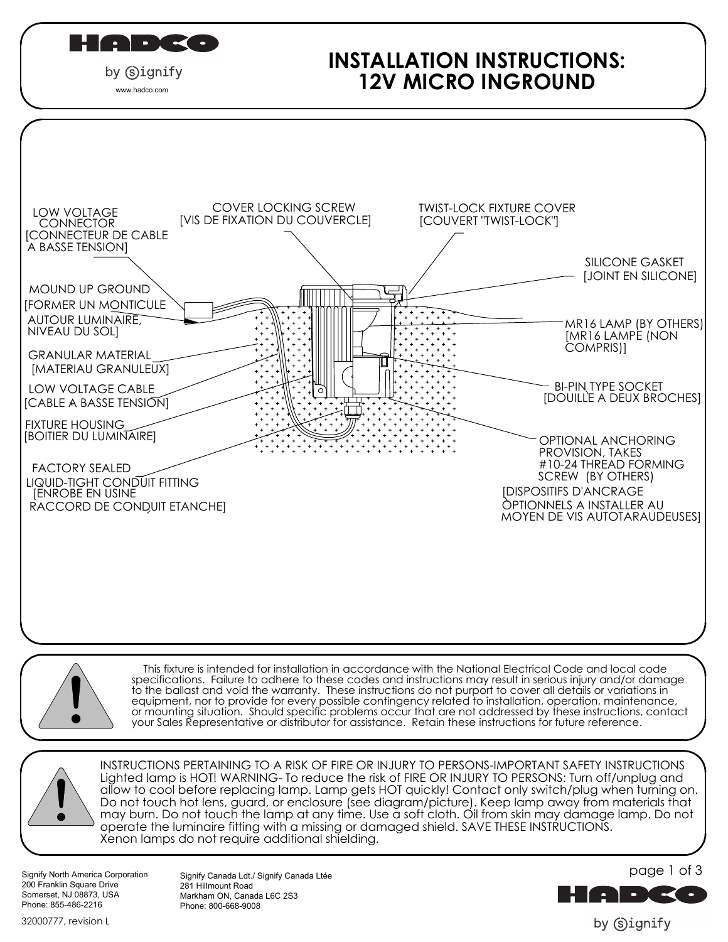| $\blacksquare$<br>Ш<br>w ni se |  |
|--------------------------------|--|
|--------------------------------|--|

### by Signify www.hadco.com

# **INSTALLATION INSTRUCTIONS: 12V MICRO INGROUND**





 This fixture is intended for installation in accordance with the National Electrical Code and local code specifications. Failure to adhere to these codes and instructions may result in serious injury and/or damage to the ballast and void the warranty. These instructions do not purport to cover all details or variations in equipment, nor to provide for every possible contingency related to installation, operation, maintenance, or mounting situation. Should specific problems occur that are not addressed by these instructions, contact your Sales Representative or distributor for assistance. Retain these instructions for future reference.



INSTRUCTIONS PERTAINING TO A RISK OF FIRE OR INJURY TO PERSONS-IMPORTANT SAFETY INSTRUCTIONS Lighted lamp is HOT! WARNING- To reduce the risk of FIRE OR INJURY TO PERSONS: Turn off/unplug and allow to cool before replacing lamp. Lamp gets HOT quickly! Contact only switch/plug when turning on. Do not touch hot lens, guard, or enclosure (see diagram/picture). Keep lamp away from materials that may burn. Do not touch the lamp at any time. Use a soft cloth. Oil from skin may damage lamp. Do not operate the luminaire fitting with a missing or damaged shield. SAVE THESE INSTRUCTIONS. Xenon lamps do not require additional shielding.

Signify North America Corporation 200 Franklin Square Drive Somerset, NJ 08873, USA Phone: 855-486-2216

Signify Canada Ldt./ Signify Canada Ltée 281 Hillmount Road Markham ON, Canada L6C 2S3 Phone: 800-668-9008



by (s)ignify

32000777, revision L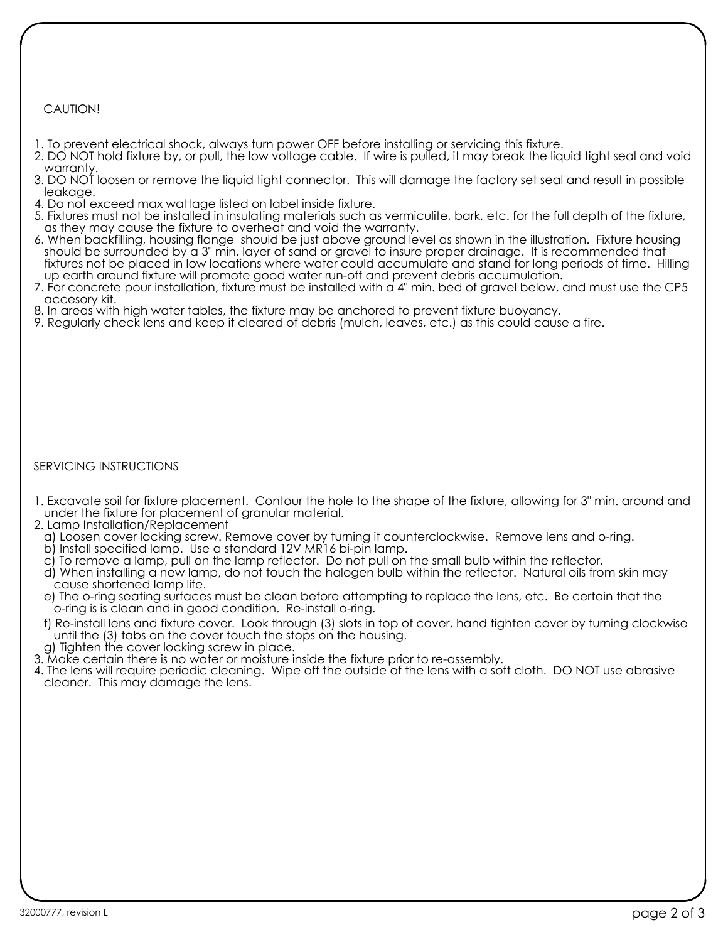## CAUTION!

- 1. To prevent electrical shock, always turn power OFF before installing or servicing this fixture.
- 2. DO NOT hold fixture by, or pull, the low voltage cable. If wire is pulled, it may break the liquid tight seal and void warranty.
- 3. DO NOT loosen or remove the liquid tight connector. This will damage the factory set seal and result in possible leakage.
- 4. Do not exceed max wattage listed on label inside fixture.
- 5. Fixtures must not be installed in insulating materials such as vermiculite, bark, etc. for the full depth of the fixture, as they may cause the fixture to overheat and void the warranty.
- 6. When backfilling, housing flange should be just above ground level as shown in the illustration. Fixture housing should be surrounded by a 3" min. layer of sand or gravel to insure proper drainage. It is recommended that fixtures not be placed in low locations where water could accumulate and stand for long periods of time. Hilling up earth around fixture will promote good water run-off and prevent debris accumulation.
- 7. For concrete pour installation, fixture must be installed with a 4" min. bed of gravel below, and must use the CP5 accesory kit.
- 8. In areas with high water tables, the fixture may be anchored to prevent fixture buoyancy.
- 9. Regularly check lens and keep it cleared of debris (mulch, leaves, etc.) as this could cause a fire.

### SERVICING INSTRUCTIONS

- 1. Excavate soil for fixture placement. Contour the hole to the shape of the fixture, allowing for 3" min. around and under the fixture for placement of granular material.
- 2. Lamp Installation/Replacement
- a) Loosen cover locking screw. Remove cover by turning it counterclockwise. Remove lens and o-ring.
- b) Install specified lamp. Use a standard 12V MR16 bi-pin lamp.
- c) To remove a lamp, pull on the lamp reflector. Do not pull on the small bulb within the reflector.
- d) When installing a new lamp, do not touch the halogen bulb within the reflector. Natural oils from skin may cause shortened lamp life.
- e) The o-ring seating surfaces must be clean before attempting to replace the lens, etc. Be certain that the o-ring is is clean and in good condition. Re-install o-ring.
- f) Re-install lens and fixture cover. Look through (3) slots in top of cover, hand tighten cover by turning clockwise until the (3) tabs on the cover touch the stops on the housing.
- g) Tighten the cover locking screw in place.
- 3. Make certain there is no water or moisture inside the fixture prior to re-assembly.
- 4. The lens will require periodic cleaning. Wipe off the outside of the lens with a soft cloth. DO NOT use abrasive cleaner. This may damage the lens.